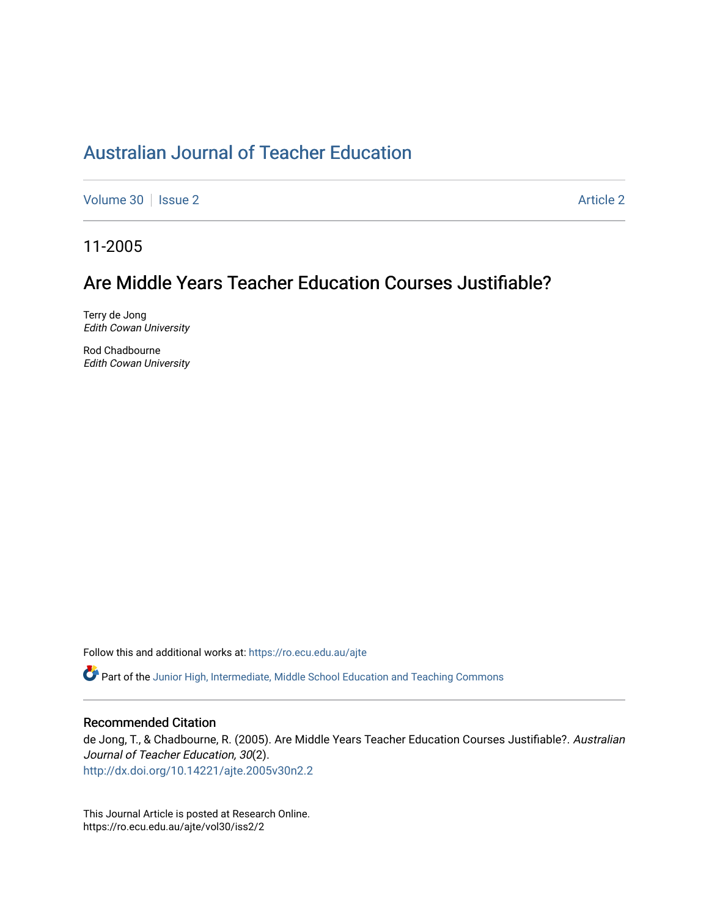# [Australian Journal of Teacher Education](https://ro.ecu.edu.au/ajte)

[Volume 30](https://ro.ecu.edu.au/ajte/vol30) | [Issue 2](https://ro.ecu.edu.au/ajte/vol30/iss2) Article 2

11-2005

## Are Middle Years Teacher Education Courses Justifiable?

Terry de Jong Edith Cowan University

Rod Chadbourne Edith Cowan University

Follow this and additional works at: [https://ro.ecu.edu.au/ajte](https://ro.ecu.edu.au/ajte?utm_source=ro.ecu.edu.au%2Fajte%2Fvol30%2Fiss2%2F2&utm_medium=PDF&utm_campaign=PDFCoverPages) 

Part of the [Junior High, Intermediate, Middle School Education and Teaching Commons](http://network.bepress.com/hgg/discipline/807?utm_source=ro.ecu.edu.au%2Fajte%2Fvol30%2Fiss2%2F2&utm_medium=PDF&utm_campaign=PDFCoverPages)

## Recommended Citation

de Jong, T., & Chadbourne, R. (2005). Are Middle Years Teacher Education Courses Justifiable?. Australian Journal of Teacher Education, 30(2). <http://dx.doi.org/10.14221/ajte.2005v30n2.2>

This Journal Article is posted at Research Online. https://ro.ecu.edu.au/ajte/vol30/iss2/2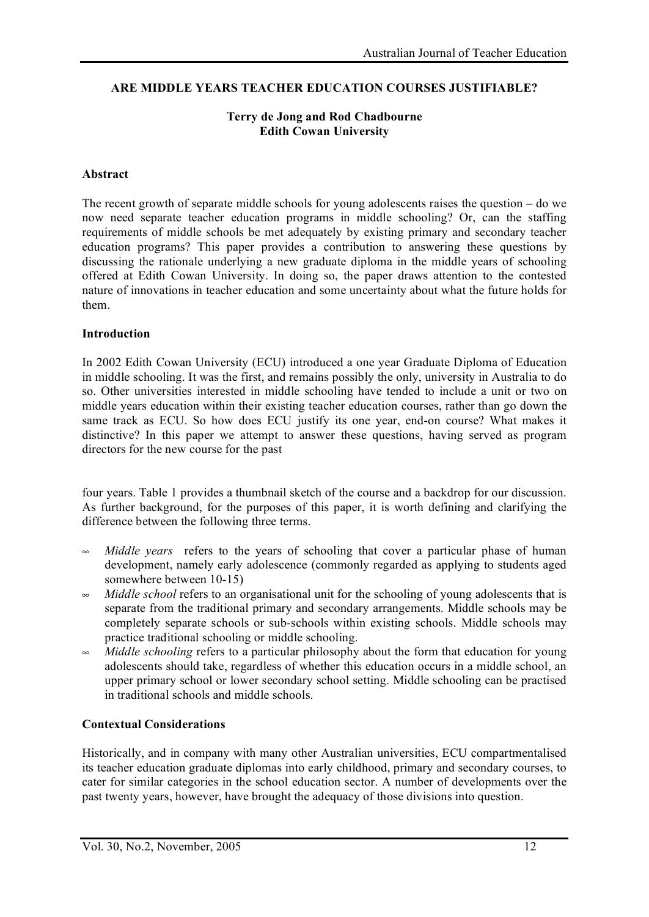#### **ARE MIDDLE YEARS TEACHER EDUCATION COURSES JUSTIFIABLE?**

#### **Terry de Jong and Rod Chadbourne Edith Cowan University**

#### **Abstract**

The recent growth of separate middle schools for young adolescents raises the question – do we now need separate teacher education programs in middle schooling? Or, can the staffing requirements of middle schools be met adequately by existing primary and secondary teacher education programs? This paper provides a contribution to answering these questions by discussing the rationale underlying a new graduate diploma in the middle years of schooling offered at Edith Cowan University. In doing so, the paper draws attention to the contested nature of innovations in teacher education and some uncertainty about what the future holds for them.

#### **Introduction**

In 2002 Edith Cowan University (ECU) introduced a one year Graduate Diploma of Education in middle schooling. It was the first, and remains possibly the only, university in Australia to do so. Other universities interested in middle schooling have tended to include a unit or two on middle years education within their existing teacher education courses, rather than go down the same track as ECU. So how does ECU justify its one year, end-on course? What makes it distinctive? In this paper we attempt to answer these questions, having served as program directors for the new course for the past

four years. Table 1 provides a thumbnail sketch of the course and a backdrop for our discussion. As further background, for the purposes of this paper, it is worth defining and clarifying the difference between the following three terms.

- *Middle years* refers to the years of schooling that cover a particular phase of human development, namely early adolescence (commonly regarded as applying to students aged somewhere between 10-15)
- *Middle school* refers to an organisational unit for the schooling of young adolescents that is separate from the traditional primary and secondary arrangements. Middle schools may be completely separate schools or sub-schools within existing schools. Middle schools may practice traditional schooling or middle schooling.
- *Middle schooling* refers to a particular philosophy about the form that education for young adolescents should take, regardless of whether this education occurs in a middle school, an upper primary school or lower secondary school setting. Middle schooling can be practised in traditional schools and middle schools.

#### **Contextual Considerations**

Historically, and in company with many other Australian universities, ECU compartmentalised its teacher education graduate diplomas into early childhood, primary and secondary courses, to cater for similar categories in the school education sector. A number of developments over the past twenty years, however, have brought the adequacy of those divisions into question.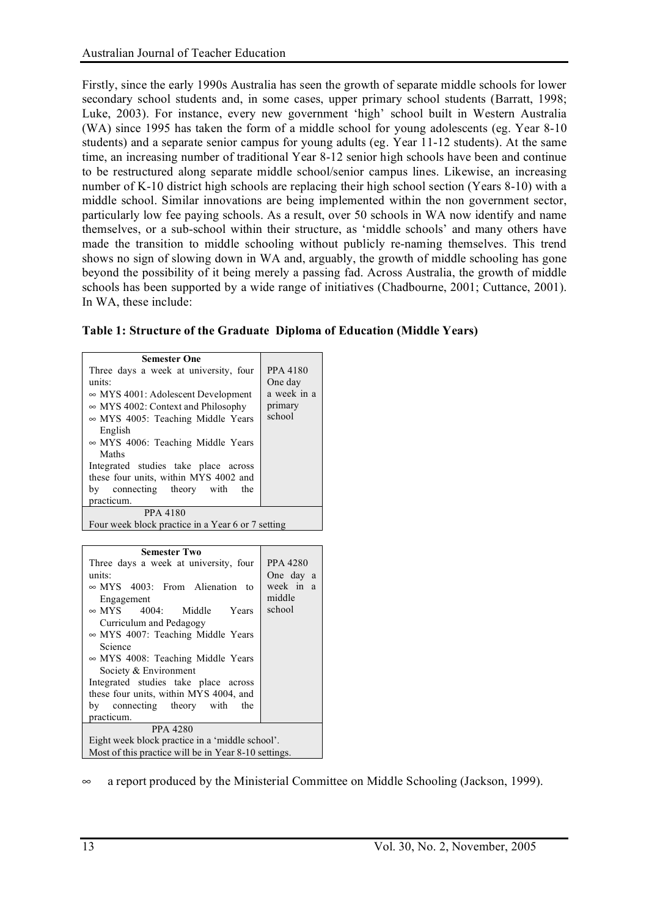Firstly, since the early 1990s Australia has seen the growth of separate middle schools for lower secondary school students and, in some cases, upper primary school students (Barratt, 1998; Luke, 2003). For instance, every new government 'high' school built in Western Australia (WA) since 1995 has taken the form of a middle school for young adolescents (eg. Year 8-10 students) and a separate senior campus for young adults (eg. Year 11-12 students). At the same time, an increasing number of traditional Year 8-12 senior high schools have been and continue to be restructured along separate middle school/senior campus lines. Likewise, an increasing number of K-10 district high schools are replacing their high school section (Years 8-10) with a middle school. Similar innovations are being implemented within the non government sector, particularly low fee paying schools. As a result, over 50 schools in WA now identify and name themselves, or a sub-school within their structure, as 'middle schools' and many others have made the transition to middle schooling without publicly re-naming themselves. This trend shows no sign of slowing down in WA and, arguably, the growth of middle schooling has gone beyond the possibility of it being merely a passing fad. Across Australia, the growth of middle schools has been supported by a wide range of initiatives (Chadbourne, 2001; Cuttance, 2001). In WA, these include:

|  | Table 1: Structure of the Graduate Diploma of Education (Middle Years) |  |  |  |
|--|------------------------------------------------------------------------|--|--|--|
|  |                                                                        |  |  |  |

| <b>Semester One</b><br>Three days a week at university, four<br>units:<br>$\sim$ MYS 4001: Adolescent Development<br>$\sim$ MYS 4002: Context and Philosophy<br>$\sim$ MYS 4005: Teaching Middle Years<br>English<br>$\sim$ MYS 4006: Teaching Middle Years<br>Maths<br>Integrated studies take place across<br>these four units, within MYS 4002 and<br>bv | <b>PPA 4180</b><br>One day<br>a week in a<br>primary<br>school |  |  |  |
|-------------------------------------------------------------------------------------------------------------------------------------------------------------------------------------------------------------------------------------------------------------------------------------------------------------------------------------------------------------|----------------------------------------------------------------|--|--|--|
| connecting theory with the<br>practicum.                                                                                                                                                                                                                                                                                                                    |                                                                |  |  |  |
| <b>PPA 4180</b>                                                                                                                                                                                                                                                                                                                                             |                                                                |  |  |  |
| Four week block practice in a Year 6 or 7 setting                                                                                                                                                                                                                                                                                                           |                                                                |  |  |  |

| <b>Semester Two</b>                                  |                     |  |  |  |  |
|------------------------------------------------------|---------------------|--|--|--|--|
| Three days a week at university, four                | <b>PPA 4280</b>     |  |  |  |  |
| units:                                               | One day a           |  |  |  |  |
| $\sim$ MYS 4003: From Alienation to<br>Engagement    | week in a<br>middle |  |  |  |  |
| $\sim$ MYS 4004: Middle Years                        | school              |  |  |  |  |
| Curriculum and Pedagogy                              |                     |  |  |  |  |
| $\sim$ MYS 4007: Teaching Middle Years               |                     |  |  |  |  |
| Science                                              |                     |  |  |  |  |
| $\sim$ MYS 4008: Teaching Middle Years               |                     |  |  |  |  |
| Society & Environment                                |                     |  |  |  |  |
| Integrated studies take place across                 |                     |  |  |  |  |
| these four units, within MYS 4004, and               |                     |  |  |  |  |
| by connecting theory with the                        |                     |  |  |  |  |
| practicum.                                           |                     |  |  |  |  |
| <b>PPA 4280</b>                                      |                     |  |  |  |  |
| Eight week block practice in a 'middle school'.      |                     |  |  |  |  |
| Most of this practice will be in Year 8-10 settings. |                     |  |  |  |  |

• a report produced by the Ministerial Committee on Middle Schooling (Jackson, 1999).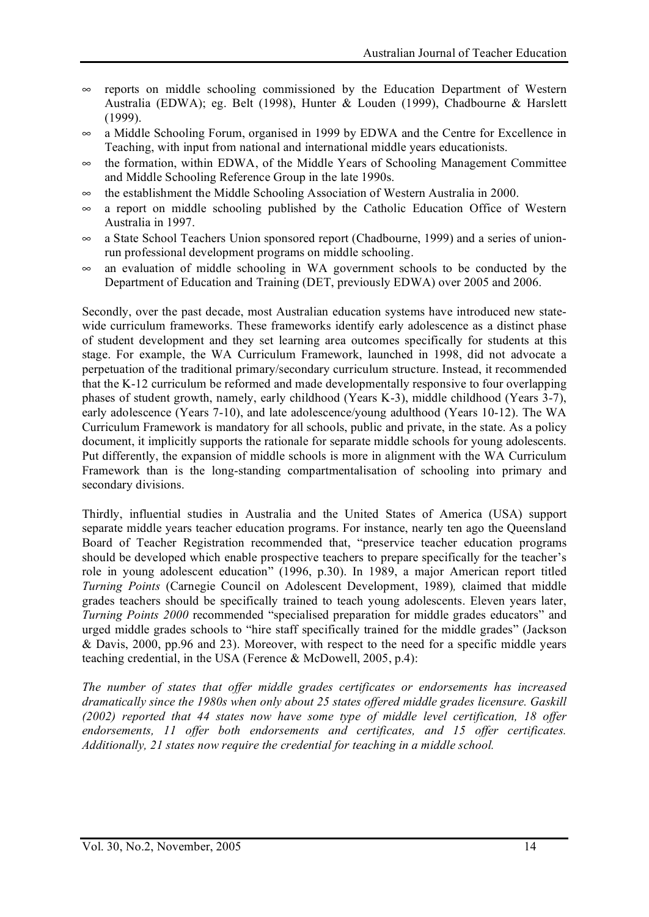- $\infty$  reports on middle schooling commissioned by the Education Department of Western Australia (EDWA); eg. Belt (1998), Hunter & Louden (1999), Chadbourne & Harslett (1999).
- a Middle Schooling Forum, organised in 1999 by EDWA and the Centre for Excellence in Teaching, with input from national and international middle years educationists.
- $\sim$  the formation, within EDWA, of the Middle Years of Schooling Management Committee and Middle Schooling Reference Group in the late 1990s.
- $\infty$  the establishment the Middle Schooling Association of Western Australia in 2000.
- $\infty$  a report on middle schooling published by the Catholic Education Office of Western Australia in 1997.
- $\infty$  a State School Teachers Union sponsored report (Chadbourne, 1999) and a series of unionrun professional development programs on middle schooling.
- $\infty$  an evaluation of middle schooling in WA government schools to be conducted by the Department of Education and Training (DET, previously EDWA) over 2005 and 2006.

Secondly, over the past decade, most Australian education systems have introduced new statewide curriculum frameworks. These frameworks identify early adolescence as a distinct phase of student development and they set learning area outcomes specifically for students at this stage. For example, the WA Curriculum Framework, launched in 1998, did not advocate a perpetuation of the traditional primary/secondary curriculum structure. Instead, it recommended that the K-12 curriculum be reformed and made developmentally responsive to four overlapping phases of student growth, namely, early childhood (Years K-3), middle childhood (Years 3-7), early adolescence (Years 7-10), and late adolescence/young adulthood (Years 10-12). The WA Curriculum Framework is mandatory for all schools, public and private, in the state. As a policy document, it implicitly supports the rationale for separate middle schools for young adolescents. Put differently, the expansion of middle schools is more in alignment with the WA Curriculum Framework than is the long-standing compartmentalisation of schooling into primary and secondary divisions.

Thirdly, influential studies in Australia and the United States of America (USA) support separate middle years teacher education programs. For instance, nearly ten ago the Queensland Board of Teacher Registration recommended that, "preservice teacher education programs should be developed which enable prospective teachers to prepare specifically for the teacher's role in young adolescent education" (1996, p.30). In 1989, a major American report titled *Turning Points* (Carnegie Council on Adolescent Development, 1989)*,* claimed that middle grades teachers should be specifically trained to teach young adolescents. Eleven years later, *Turning Points 2000* recommended "specialised preparation for middle grades educators" and urged middle grades schools to "hire staff specifically trained for the middle grades" (Jackson & Davis, 2000, pp.96 and 23). Moreover, with respect to the need for a specific middle years teaching credential, in the USA (Ference & McDowell, 2005, p.4):

*The number of states that offer middle grades certificates or endorsements has increased dramatically since the 1980s when only about 25 states offered middle grades licensure. Gaskill (2002) reported that 44 states now have some type of middle level certification, 18 offer endorsements, 11 offer both endorsements and certificates, and 15 offer certificates. Additionally, 21 states now require the credential for teaching in a middle school.*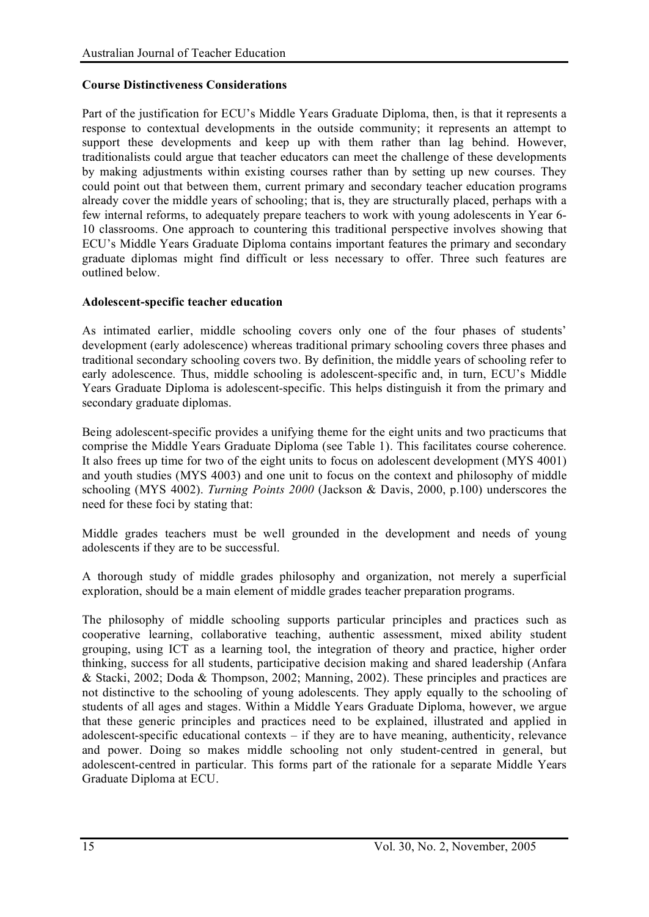#### **Course Distinctiveness Considerations**

Part of the justification for ECU's Middle Years Graduate Diploma, then, is that it represents a response to contextual developments in the outside community; it represents an attempt to support these developments and keep up with them rather than lag behind. However, traditionalists could argue that teacher educators can meet the challenge of these developments by making adjustments within existing courses rather than by setting up new courses. They could point out that between them, current primary and secondary teacher education programs already cover the middle years of schooling; that is, they are structurally placed, perhaps with a few internal reforms, to adequately prepare teachers to work with young adolescents in Year 6- 10 classrooms. One approach to countering this traditional perspective involves showing that ECU's Middle Years Graduate Diploma contains important features the primary and secondary graduate diplomas might find difficult or less necessary to offer. Three such features are outlined below.

#### **Adolescent-specific teacher education**

As intimated earlier, middle schooling covers only one of the four phases of students' development (early adolescence) whereas traditional primary schooling covers three phases and traditional secondary schooling covers two. By definition, the middle years of schooling refer to early adolescence. Thus, middle schooling is adolescent-specific and, in turn, ECU's Middle Years Graduate Diploma is adolescent-specific. This helps distinguish it from the primary and secondary graduate diplomas.

Being adolescent-specific provides a unifying theme for the eight units and two practicums that comprise the Middle Years Graduate Diploma (see Table 1). This facilitates course coherence. It also frees up time for two of the eight units to focus on adolescent development (MYS 4001) and youth studies (MYS 4003) and one unit to focus on the context and philosophy of middle schooling (MYS 4002). *Turning Points 2000* (Jackson & Davis, 2000, p.100) underscores the need for these foci by stating that:

Middle grades teachers must be well grounded in the development and needs of young adolescents if they are to be successful.

A thorough study of middle grades philosophy and organization, not merely a superficial exploration, should be a main element of middle grades teacher preparation programs.

The philosophy of middle schooling supports particular principles and practices such as cooperative learning, collaborative teaching, authentic assessment, mixed ability student grouping, using ICT as a learning tool, the integration of theory and practice, higher order thinking, success for all students, participative decision making and shared leadership (Anfara & Stacki, 2002; Doda & Thompson, 2002; Manning, 2002). These principles and practices are not distinctive to the schooling of young adolescents. They apply equally to the schooling of students of all ages and stages. Within a Middle Years Graduate Diploma, however, we argue that these generic principles and practices need to be explained, illustrated and applied in adolescent-specific educational contexts – if they are to have meaning, authenticity, relevance and power. Doing so makes middle schooling not only student-centred in general, but adolescent-centred in particular. This forms part of the rationale for a separate Middle Years Graduate Diploma at ECU.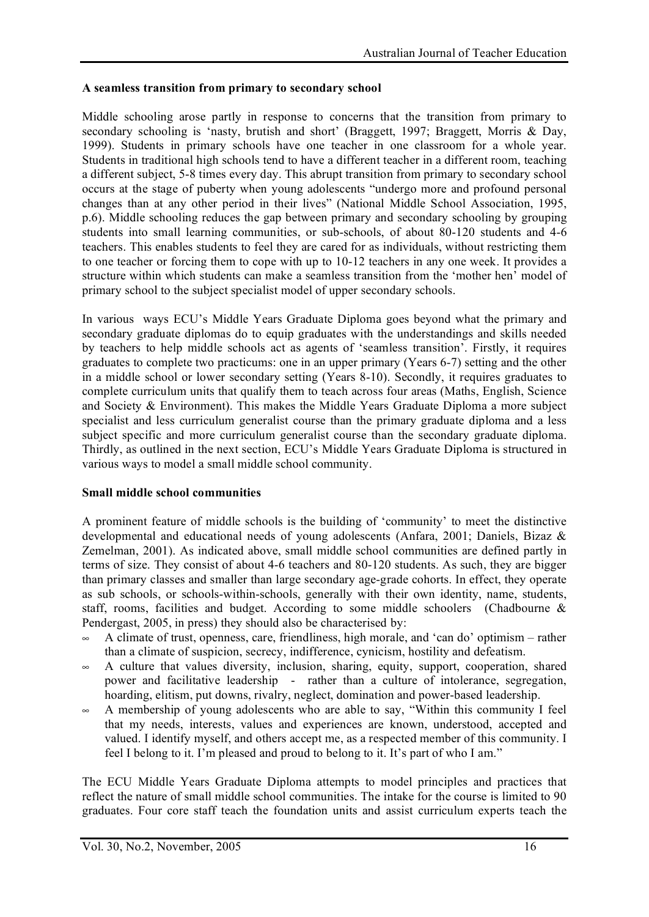#### **A seamless transition from primary to secondary school**

Middle schooling arose partly in response to concerns that the transition from primary to secondary schooling is 'nasty, brutish and short' (Braggett, 1997; Braggett, Morris & Day, 1999). Students in primary schools have one teacher in one classroom for a whole year. Students in traditional high schools tend to have a different teacher in a different room, teaching a different subject, 5-8 times every day. This abrupt transition from primary to secondary school occurs at the stage of puberty when young adolescents "undergo more and profound personal changes than at any other period in their lives" (National Middle School Association, 1995, p.6). Middle schooling reduces the gap between primary and secondary schooling by grouping students into small learning communities, or sub-schools, of about 80-120 students and 4-6 teachers. This enables students to feel they are cared for as individuals, without restricting them to one teacher or forcing them to cope with up to 10-12 teachers in any one week. It provides a structure within which students can make a seamless transition from the 'mother hen' model of primary school to the subject specialist model of upper secondary schools.

In various ways ECU's Middle Years Graduate Diploma goes beyond what the primary and secondary graduate diplomas do to equip graduates with the understandings and skills needed by teachers to help middle schools act as agents of 'seamless transition'. Firstly, it requires graduates to complete two practicums: one in an upper primary (Years 6-7) setting and the other in a middle school or lower secondary setting (Years 8-10). Secondly, it requires graduates to complete curriculum units that qualify them to teach across four areas (Maths, English, Science and Society  $\&$  Environment). This makes the Middle Years Graduate Diploma a more subject specialist and less curriculum generalist course than the primary graduate diploma and a less subject specific and more curriculum generalist course than the secondary graduate diploma. Thirdly, as outlined in the next section, ECU's Middle Years Graduate Diploma is structured in various ways to model a small middle school community.

#### **Small middle school communities**

A prominent feature of middle schools is the building of 'community' to meet the distinctive developmental and educational needs of young adolescents (Anfara, 2001; Daniels, Bizaz & Zemelman, 2001). As indicated above, small middle school communities are defined partly in terms of size. They consist of about 4-6 teachers and 80-120 students. As such, they are bigger than primary classes and smaller than large secondary age-grade cohorts. In effect, they operate as sub schools, or schools-within-schools, generally with their own identity, name, students, staff, rooms, facilities and budget. According to some middle schoolers (Chadbourne  $\&$ Pendergast, 2005, in press) they should also be characterised by:

- $\sim$  A climate of trust, openness, care, friendliness, high morale, and 'can do' optimism rather than a climate of suspicion, secrecy, indifference, cynicism, hostility and defeatism.
- $\sim$  A culture that values diversity, inclusion, sharing, equity, support, cooperation, shared power and facilitative leadership - rather than a culture of intolerance, segregation, hoarding, elitism, put downs, rivalry, neglect, domination and power-based leadership.
- $\sim$  A membership of young adolescents who are able to say, "Within this community I feel that my needs, interests, values and experiences are known, understood, accepted and valued. I identify myself, and others accept me, as a respected member of this community. I feel I belong to it. I'm pleased and proud to belong to it. It's part of who I am."

The ECU Middle Years Graduate Diploma attempts to model principles and practices that reflect the nature of small middle school communities. The intake for the course is limited to 90 graduates. Four core staff teach the foundation units and assist curriculum experts teach the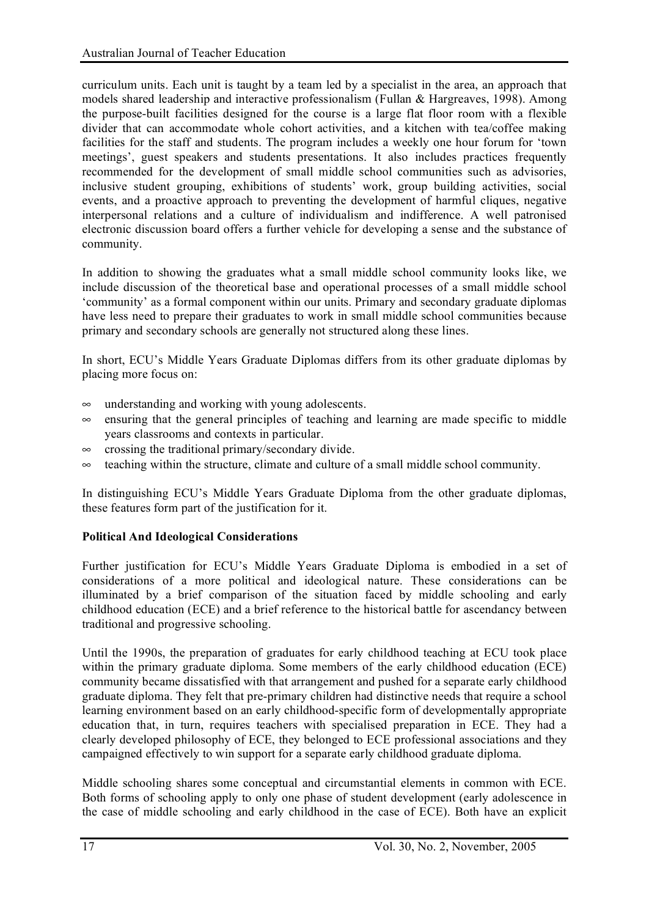curriculum units. Each unit is taught by a team led by a specialist in the area, an approach that models shared leadership and interactive professionalism (Fullan & Hargreaves, 1998). Among the purpose-built facilities designed for the course is a large flat floor room with a flexible divider that can accommodate whole cohort activities, and a kitchen with tea/coffee making facilities for the staff and students. The program includes a weekly one hour forum for 'town meetings', guest speakers and students presentations. It also includes practices frequently recommended for the development of small middle school communities such as advisories, inclusive student grouping, exhibitions of students' work, group building activities, social events, and a proactive approach to preventing the development of harmful cliques, negative interpersonal relations and a culture of individualism and indifference. A well patronised electronic discussion board offers a further vehicle for developing a sense and the substance of community.

In addition to showing the graduates what a small middle school community looks like, we include discussion of the theoretical base and operational processes of a small middle school 'community' as a formal component within our units. Primary and secondary graduate diplomas have less need to prepare their graduates to work in small middle school communities because primary and secondary schools are generally not structured along these lines.

In short, ECU's Middle Years Graduate Diplomas differs from its other graduate diplomas by placing more focus on:

- $\infty$  understanding and working with young adolescents.
- $\infty$  ensuring that the general principles of teaching and learning are made specific to middle years classrooms and contexts in particular.
- $\infty$  crossing the traditional primary/secondary divide.
- $\sim$  teaching within the structure, climate and culture of a small middle school community.

In distinguishing ECU's Middle Years Graduate Diploma from the other graduate diplomas, these features form part of the justification for it.

#### **Political And Ideological Considerations**

Further justification for ECU's Middle Years Graduate Diploma is embodied in a set of considerations of a more political and ideological nature. These considerations can be illuminated by a brief comparison of the situation faced by middle schooling and early childhood education (ECE) and a brief reference to the historical battle for ascendancy between traditional and progressive schooling.

Until the 1990s, the preparation of graduates for early childhood teaching at ECU took place within the primary graduate diploma. Some members of the early childhood education (ECE) community became dissatisfied with that arrangement and pushed for a separate early childhood graduate diploma. They felt that pre-primary children had distinctive needs that require a school learning environment based on an early childhood-specific form of developmentally appropriate education that, in turn, requires teachers with specialised preparation in ECE. They had a clearly developed philosophy of ECE, they belonged to ECE professional associations and they campaigned effectively to win support for a separate early childhood graduate diploma.

Middle schooling shares some conceptual and circumstantial elements in common with ECE. Both forms of schooling apply to only one phase of student development (early adolescence in the case of middle schooling and early childhood in the case of ECE). Both have an explicit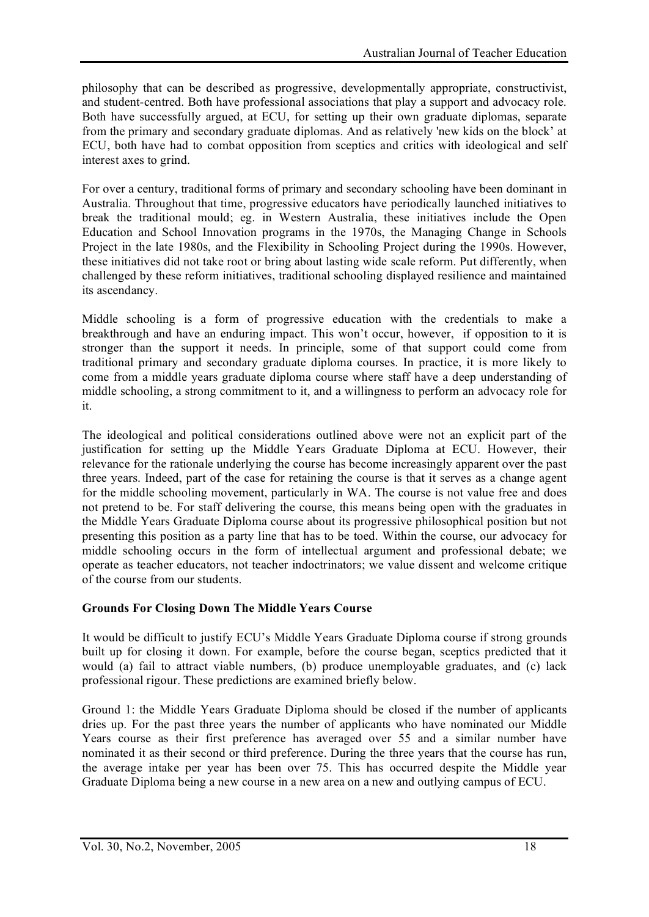philosophy that can be described as progressive, developmentally appropriate, constructivist, and student-centred. Both have professional associations that play a support and advocacy role. Both have successfully argued, at ECU, for setting up their own graduate diplomas, separate from the primary and secondary graduate diplomas. And as relatively 'new kids on the block' at ECU, both have had to combat opposition from sceptics and critics with ideological and self interest axes to grind.

For over a century, traditional forms of primary and secondary schooling have been dominant in Australia. Throughout that time, progressive educators have periodically launched initiatives to break the traditional mould; eg. in Western Australia, these initiatives include the Open Education and School Innovation programs in the 1970s, the Managing Change in Schools Project in the late 1980s, and the Flexibility in Schooling Project during the 1990s. However, these initiatives did not take root or bring about lasting wide scale reform. Put differently, when challenged by these reform initiatives, traditional schooling displayed resilience and maintained its ascendancy.

Middle schooling is a form of progressive education with the credentials to make a breakthrough and have an enduring impact. This won't occur, however, if opposition to it is stronger than the support it needs. In principle, some of that support could come from traditional primary and secondary graduate diploma courses. In practice, it is more likely to come from a middle years graduate diploma course where staff have a deep understanding of middle schooling, a strong commitment to it, and a willingness to perform an advocacy role for it.

The ideological and political considerations outlined above were not an explicit part of the justification for setting up the Middle Years Graduate Diploma at ECU. However, their relevance for the rationale underlying the course has become increasingly apparent over the past three years. Indeed, part of the case for retaining the course is that it serves as a change agent for the middle schooling movement, particularly in WA. The course is not value free and does not pretend to be. For staff delivering the course, this means being open with the graduates in the Middle Years Graduate Diploma course about its progressive philosophical position but not presenting this position as a party line that has to be toed. Within the course, our advocacy for middle schooling occurs in the form of intellectual argument and professional debate; we operate as teacher educators, not teacher indoctrinators; we value dissent and welcome critique of the course from our students.

## **Grounds For Closing Down The Middle Years Course**

It would be difficult to justify ECU's Middle Years Graduate Diploma course if strong grounds built up for closing it down. For example, before the course began, sceptics predicted that it would (a) fail to attract viable numbers, (b) produce unemployable graduates, and (c) lack professional rigour. These predictions are examined briefly below.

Ground 1: the Middle Years Graduate Diploma should be closed if the number of applicants dries up. For the past three years the number of applicants who have nominated our Middle Years course as their first preference has averaged over 55 and a similar number have nominated it as their second or third preference. During the three years that the course has run, the average intake per year has been over 75. This has occurred despite the Middle year Graduate Diploma being a new course in a new area on a new and outlying campus of ECU.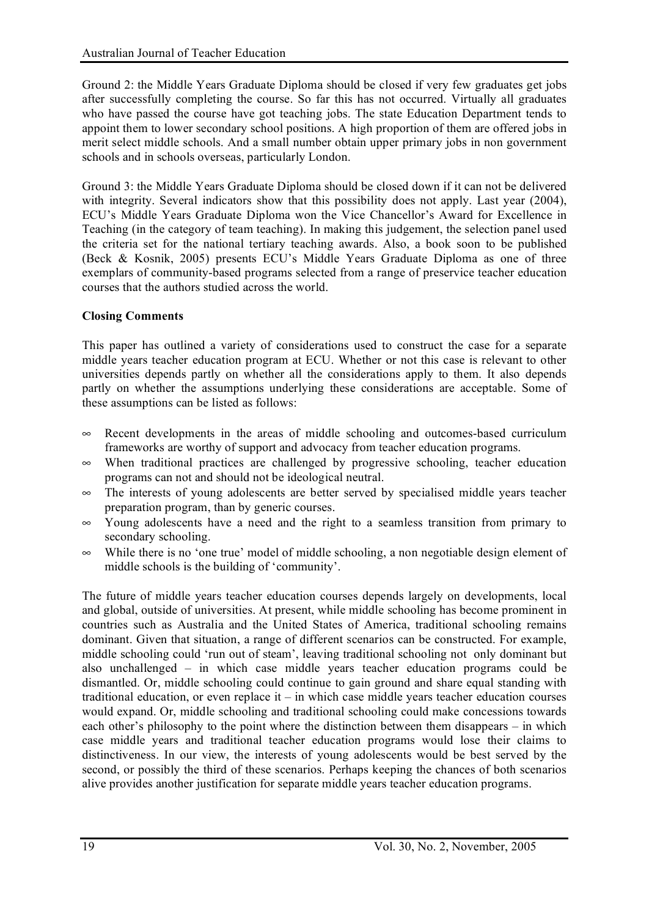Ground 2: the Middle Years Graduate Diploma should be closed if very few graduates get jobs after successfully completing the course. So far this has not occurred. Virtually all graduates who have passed the course have got teaching jobs. The state Education Department tends to appoint them to lower secondary school positions. A high proportion of them are offered jobs in merit select middle schools. And a small number obtain upper primary jobs in non government schools and in schools overseas, particularly London.

Ground 3: the Middle Years Graduate Diploma should be closed down if it can not be delivered with integrity. Several indicators show that this possibility does not apply. Last year (2004), ECU's Middle Years Graduate Diploma won the Vice Chancellor's Award for Excellence in Teaching (in the category of team teaching). In making this judgement, the selection panel used the criteria set for the national tertiary teaching awards. Also, a book soon to be published (Beck & Kosnik, 2005) presents ECU's Middle Years Graduate Diploma as one of three exemplars of community-based programs selected from a range of preservice teacher education courses that the authors studied across the world.

#### **Closing Comments**

This paper has outlined a variety of considerations used to construct the case for a separate middle years teacher education program at ECU. Whether or not this case is relevant to other universities depends partly on whether all the considerations apply to them. It also depends partly on whether the assumptions underlying these considerations are acceptable. Some of these assumptions can be listed as follows:

- $\infty$  Recent developments in the areas of middle schooling and outcomes-based curriculum frameworks are worthy of support and advocacy from teacher education programs.
- $\infty$  When traditional practices are challenged by progressive schooling, teacher education programs can not and should not be ideological neutral.
- $\infty$  The interests of young adolescents are better served by specialised middle years teacher preparation program, than by generic courses.
- $\infty$  Young adolescents have a need and the right to a seamless transition from primary to secondary schooling.
- $\infty$  While there is no 'one true' model of middle schooling, a non negotiable design element of middle schools is the building of 'community'.

The future of middle years teacher education courses depends largely on developments, local and global, outside of universities. At present, while middle schooling has become prominent in countries such as Australia and the United States of America, traditional schooling remains dominant. Given that situation, a range of different scenarios can be constructed. For example, middle schooling could 'run out of steam', leaving traditional schooling not only dominant but also unchallenged – in which case middle years teacher education programs could be dismantled. Or, middle schooling could continue to gain ground and share equal standing with traditional education, or even replace it – in which case middle years teacher education courses would expand. Or, middle schooling and traditional schooling could make concessions towards each other's philosophy to the point where the distinction between them disappears – in which case middle years and traditional teacher education programs would lose their claims to distinctiveness. In our view, the interests of young adolescents would be best served by the second, or possibly the third of these scenarios. Perhaps keeping the chances of both scenarios alive provides another justification for separate middle years teacher education programs.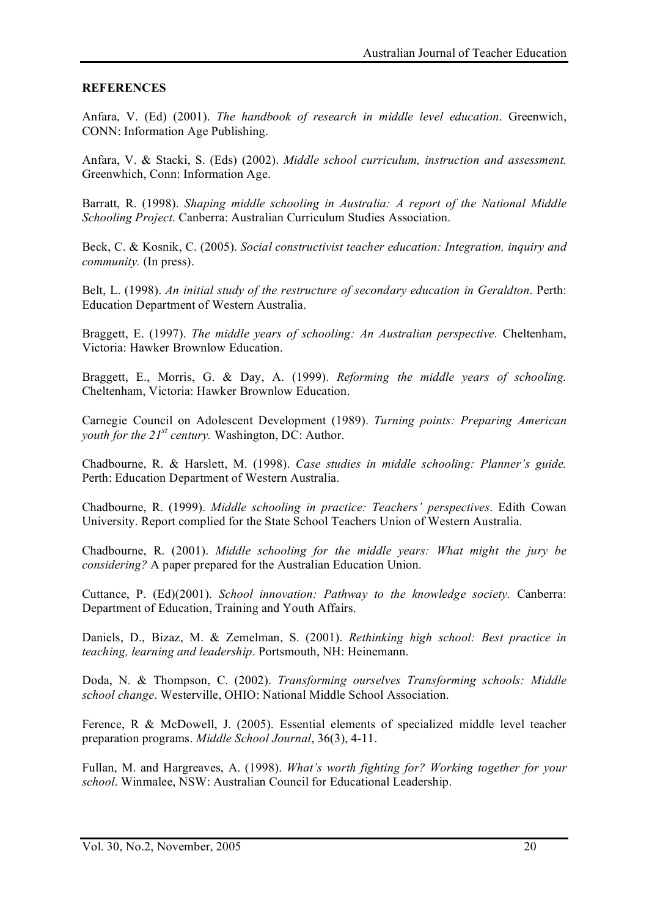#### **REFERENCES**

Anfara, V. (Ed) (2001). *The handbook of research in middle level education*. Greenwich, CONN: Information Age Publishing.

Anfara, V. & Stacki, S. (Eds) (2002). *Middle school curriculum, instruction and assessment.* Greenwhich, Conn: Information Age.

Barratt, R. (1998). *Shaping middle schooling in Australia: A report of the National Middle Schooling Project*. Canberra: Australian Curriculum Studies Association.

Beck, C. & Kosnik, C. (2005). *Social constructivist teacher education: Integration, inquiry and community.* (In press).

Belt, L. (1998). *An initial study of the restructure of secondary education in Geraldton*. Perth: Education Department of Western Australia.

Braggett, E. (1997). *The middle years of schooling: An Australian perspective.* Cheltenham, Victoria: Hawker Brownlow Education.

Braggett, E., Morris, G. & Day, A. (1999). *Reforming the middle years of schooling.* Cheltenham, Victoria: Hawker Brownlow Education.

Carnegie Council on Adolescent Development (1989). *Turning points: Preparing American youth for the 21st century.* Washington, DC: Author.

Chadbourne, R. & Harslett, M. (1998). *Case studies in middle schooling: Planner's guide.* Perth: Education Department of Western Australia.

Chadbourne, R. (1999). *Middle schooling in practice: Teachers' perspectives*. Edith Cowan University. Report complied for the State School Teachers Union of Western Australia.

Chadbourne, R. (2001). *Middle schooling for the middle years: What might the jury be considering?* A paper prepared for the Australian Education Union.

Cuttance, P. (Ed)(2001). *School innovation: Pathway to the knowledge society.* Canberra: Department of Education, Training and Youth Affairs.

Daniels, D., Bizaz, M. & Zemelman, S. (2001). *Rethinking high school: Best practice in teaching, learning and leadership*. Portsmouth, NH: Heinemann.

Doda, N. & Thompson, C. (2002). *Transforming ourselves Transforming schools: Middle school change*. Westerville, OHIO: National Middle School Association.

Ference, R & McDowell, J. (2005). Essential elements of specialized middle level teacher preparation programs. *Middle School Journal*, 36(3), 4-11.

Fullan, M. and Hargreaves, A. (1998). *What's worth fighting for? Working together for your school*. Winmalee, NSW: Australian Council for Educational Leadership.